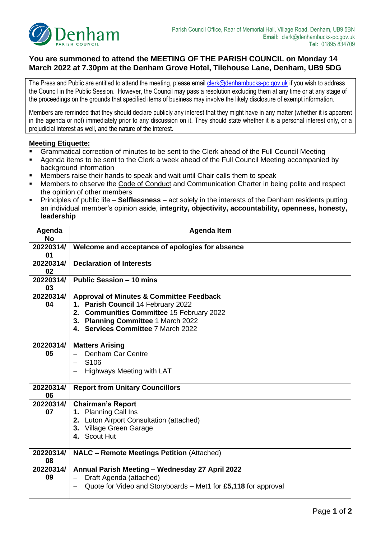

## **You are summoned to attend the MEETING OF THE PARISH COUNCIL on Monday 14 March 2022 at 7.30pm at the Denham Grove Hotel, Tilehouse Lane, Denham, UB9 5DG**

The Press and Public are entitled to attend the meeting, please email *clerk@denhambucks-pc.gov.uk* if you wish to address the Council in the Public Session. However, the Council may pass a resolution excluding them at any time or at any stage of the proceedings on the grounds that specified items of business may involve the likely disclosure of exempt information.

Members are reminded that they should declare publicly any interest that they might have in any matter (whether it is apparent in the agenda or not) immediately prior to any discussion on it. They should state whether it is a personal interest only, or a prejudicial interest as well, and the nature of the interest.

## **Meeting Etiquette:**

- Grammatical correction of minutes to be sent to the Clerk ahead of the Full Council Meeting
- Agenda items to be sent to the Clerk a week ahead of the Full Council Meeting accompanied by background information
- Members raise their hands to speak and wait until Chair calls them to speak
- Members to observe the Code of Conduct and Communication Charter in being polite and respect the opinion of other members
- Principles of public life **Selflessness** act solely in the interests of the Denham residents putting an individual member's opinion aside, **integrity, objectivity, accountability, openness, honesty, leadership**

| Agenda<br><b>No</b> | <b>Agenda Item</b>                                                                                                                                                                                                 |  |  |
|---------------------|--------------------------------------------------------------------------------------------------------------------------------------------------------------------------------------------------------------------|--|--|
| 20220314/<br>01     | Welcome and acceptance of apologies for absence                                                                                                                                                                    |  |  |
| 20220314/<br>02     | <b>Declaration of Interests</b>                                                                                                                                                                                    |  |  |
| 20220314/<br>03     | <b>Public Session - 10 mins</b>                                                                                                                                                                                    |  |  |
| 20220314/<br>04     | <b>Approval of Minutes &amp; Committee Feedback</b><br>1. Parish Council 14 February 2022<br>2. Communities Committee 15 February 2022<br>3. Planning Committee 1 March 2022<br>4. Services Committee 7 March 2022 |  |  |
| 20220314/<br>05     | <b>Matters Arising</b><br><b>Denham Car Centre</b><br>S <sub>106</sub><br>Highways Meeting with LAT                                                                                                                |  |  |
| 20220314/<br>06     | <b>Report from Unitary Councillors</b>                                                                                                                                                                             |  |  |
| 20220314/<br>07     | <b>Chairman's Report</b><br>1. Planning Call Ins<br>2. Luton Airport Consultation (attached)<br>3. Village Green Garage<br>4. Scout Hut                                                                            |  |  |
| 20220314/<br>08     | <b>NALC - Remote Meetings Petition (Attached)</b>                                                                                                                                                                  |  |  |
| 20220314/<br>09     | Annual Parish Meeting - Wednesday 27 April 2022<br>Draft Agenda (attached)<br>Quote for Video and Storyboards – Met1 for £5,118 for approval                                                                       |  |  |